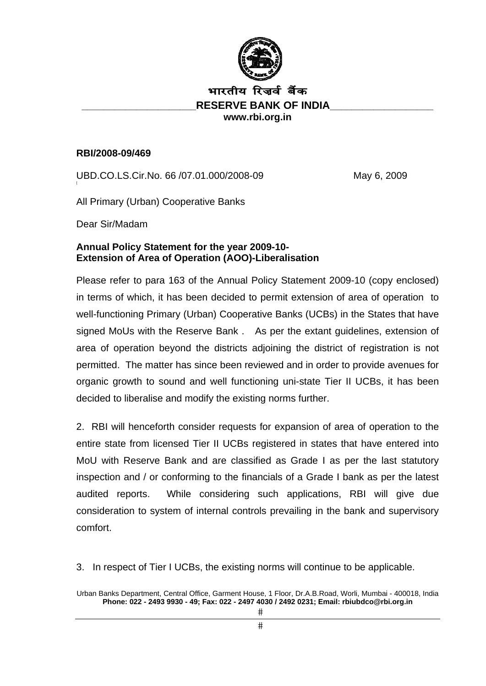

# भारतीय रिजर्व बैंक **RESERVE BANK OF INDIA www.rbi.org.in**

#### **RBI/2008-09/469**

UBD.CO.LS.Cir.No. 66 / 07.01.000/2008-09 May 6, 2009

All Primary (Urban) Cooperative Banks

Dear Sir/Madam

### **Annual Policy Statement for the year 2009-10- Extension of Area of Operation (AOO)-Liberalisation**

Please refer to para 163 of the Annual Policy Statement 2009-10 (copy enclosed) in terms of which, it has been decided to permit extension of area of operation to well-functioning Primary (Urban) Cooperative Banks (UCBs) in the States that have signed MoUs with the Reserve Bank . As per the extant guidelines, extension of area of operation beyond the districts adjoining the district of registration is not permitted. The matter has since been reviewed and in order to provide avenues for organic growth to sound and well functioning uni-state Tier II UCBs, it has been decided to liberalise and modify the existing norms further.

2. RBI will henceforth consider requests for expansion of area of operation to the entire state from licensed Tier II UCBs registered in states that have entered into MoU with Reserve Bank and are classified as Grade I as per the last statutory inspection and / or conforming to the financials of a Grade I bank as per the latest audited reports. While considering such applications, RBI will give due consideration to system of internal controls prevailing in the bank and supervisory comfort.

3. In respect of Tier I UCBs, the existing norms will continue to be applicable.

Urban Banks Department, Central Office, Garment House, 1 Floor, Dr.A.B.Road, Worli, Mumbai - 400018, India **Phone: 022 - 2493 9930 - 49; Fax: 022 - 2497 4030 / 2492 0231; Email: rbiubdco@rbi.org.in**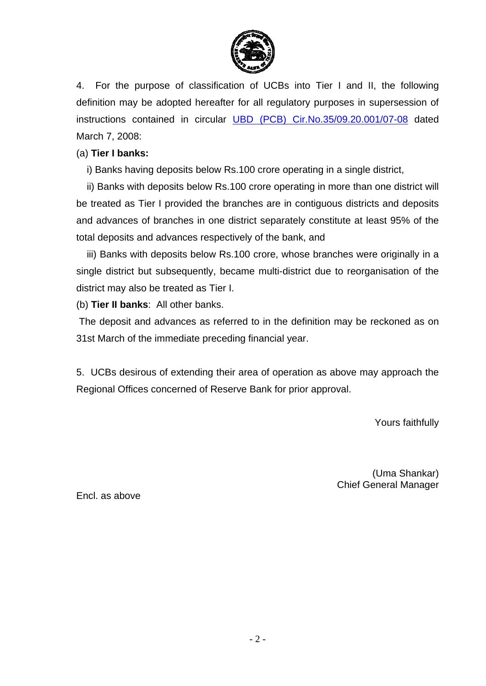

4. For the purpose of classification of UCBs into Tier I and II, the following definition may be adopted hereafter for all regulatory purposes in supersession of instructions contained in circular UBD (PCB) Cir.No.35/09.20.001/07-08 dated March 7, 2008:

### (a) **Tier I banks:**

i) Banks having deposits below Rs.100 crore operating in a single district,

ii) Banks with deposits below Rs.100 crore operating in more than one district will be treated as Tier I provided the branches are in contiguous districts and deposits and advances of branches in one district separately constitute at least 95% of the total deposits and advances respectively of the bank, and

iii) Banks with deposits below Rs.100 crore, whose branches were originally in a single district but subsequently, became multi-district due to reorganisation of the district may also be treated as Tier I.

(b) **Tier II banks**: All other banks.

 The deposit and advances as referred to in the definition may be reckoned as on 31st March of the immediate preceding financial year.

5. UCBs desirous of extending their area of operation as above may approach the Regional Offices concerned of Reserve Bank for prior approval.

Yours faithfully

(Uma Shankar) Chief General Manager

Encl. as above